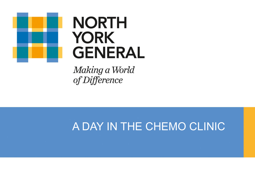

# **NORTH YORK GENERAL**

Making a World of Difference

# A DAY IN THE CHEMO CLINIC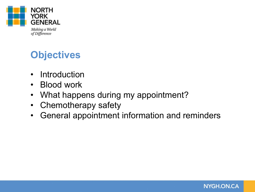

Making a World of Difference

# **Objectives**

- Introduction
- Blood work
- What happens during my appointment?
- Chemotherapy safety
- General appointment information and reminders

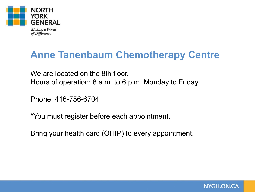

### **Anne Tanenbaum Chemotherapy Centre**

We are located on the 8th floor. Hours of operation: 8 a.m. to 6 p.m. Monday to Friday

Phone: 416-756-6704

\*You must register before each appointment.

Bring your health card (OHIP) to every appointment.

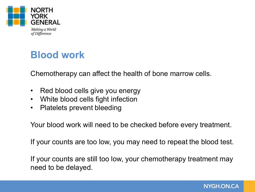

# **Blood work**

Chemotherapy can affect the health of bone marrow cells.

- Red blood cells give you energy
- White blood cells fight infection
- Platelets prevent bleeding

Your blood work will need to be checked before every treatment.

If your counts are too low, you may need to repeat the blood test.

If your counts are still too low, your chemotherapy treatment may need to be delayed.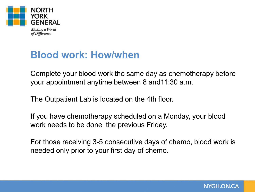

# **Blood work: How/when**

Complete your blood work the same day as chemotherapy before your appointment anytime between 8 and11:30 a.m.

The Outpatient Lab is located on the 4th floor.

If you have chemotherapy scheduled on a Monday, your blood work needs to be done the previous Friday.

For those receiving 3-5 consecutive days of chemo, blood work is needed only prior to your first day of chemo.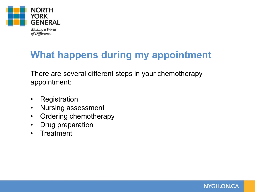

# **What happens during my appointment**

There are several different steps in your chemotherapy appointment:

- Registration
- Nursing assessment
- Ordering chemotherapy
- Drug preparation
- Treatment

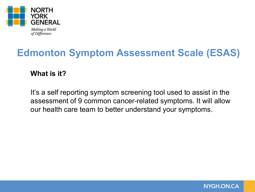

# **Edmonton Symptom Assessment Scale (ESAS)**

**What is it?**

It's a self reporting symptom screening tool used to assist in the assessment of 9 common cancer-related symptoms. It will allow our health care team to better understand your symptoms.

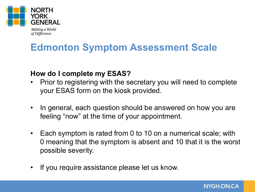

of Difference

**Edmonton Symptom Assessment Scale**

#### **How do I complete my ESAS?**

- Prior to registering with the secretary you will need to complete your ESAS form on the kiosk provided.
- In general, each question should be answered on how you are feeling "now" at the time of your appointment.
- Each symptom is rated from 0 to 10 on a numerical scale; with 0 meaning that the symptom is absent and 10 that it is the worst possible severity.
- If you require assistance please let us know.

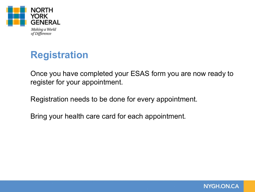

**Registration**

Once you have completed your ESAS form you are now ready to register for your appointment.

Registration needs to be done for every appointment.

Bring your health care card for each appointment.

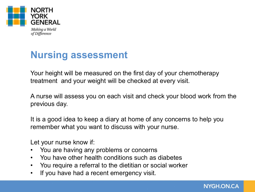

# **Nursing assessment**

Your height will be measured on the first day of your chemotherapy treatment and your weight will be checked at every visit.

A nurse will assess you on each visit and check your blood work from the previous day.

It is a good idea to keep a diary at home of any concerns to help you remember what you want to discuss with your nurse.

Let your nurse know if:

- You are having any problems or concerns
- You have other health conditions such as diabetes
- You require a referral to the dietitian or social worker
- If you have had a recent emergency visit.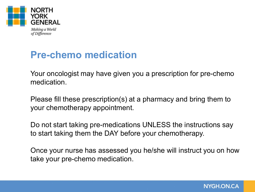

# **Pre-chemo medication**

Your oncologist may have given you a prescription for pre-chemo medication.

Please fill these prescription(s) at a pharmacy and bring them to your chemotherapy appointment.

Do not start taking pre-medications UNLESS the instructions say to start taking them the DAY before your chemotherapy.

Once your nurse has assessed you he/she will instruct you on how take your pre-chemo medication.

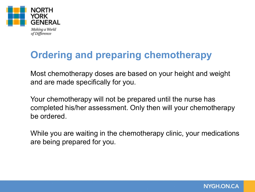

# **Ordering and preparing chemotherapy**

Most chemotherapy doses are based on your height and weight and are made specifically for you.

Your chemotherapy will not be prepared until the nurse has completed his/her assessment. Only then will your chemotherapy be ordered.

While you are waiting in the chemotherapy clinic, your medications are being prepared for you.

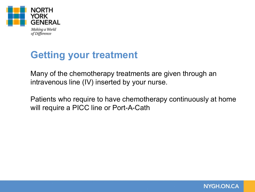

# **Getting your treatment**

Many of the chemotherapy treatments are given through an intravenous line (IV) inserted by your nurse.

Patients who require to have chemotherapy continuously at home will require a PICC line or Port-A-Cath

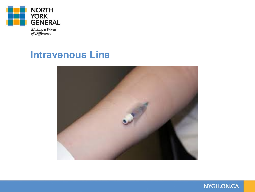

Making a World<br>of Difference

#### **Intravenous Line**



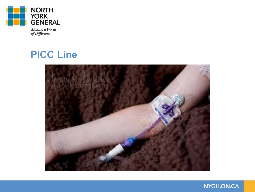

Making a World<br>of Difference

#### **PICC Line**



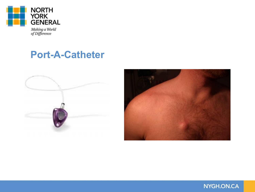

Making a World<br>of Difference

#### **Port-A-Catheter**



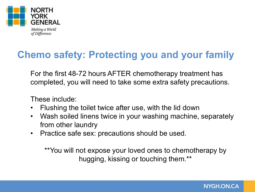

# **Chemo safety: Protecting you and your family**

For the first 48-72 hours AFTER chemotherapy treatment has completed, you will need to take some extra safety precautions.

These include:

- Flushing the toilet twice after use, with the lid down
- Wash soiled linens twice in your washing machine, separately from other laundry
- Practice safe sex: precautions should be used.

\*\*You will not expose your loved ones to chemotherapy by hugging, kissing or touching them.\*\*

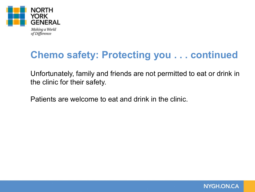

# **Chemo safety: Protecting you . . . continued**

Unfortunately, family and friends are not permitted to eat or drink in the clinic for their safety.

Patients are welcome to eat and drink in the clinic.

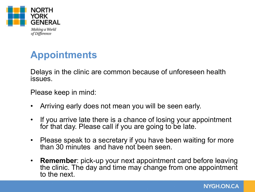

# **Appointments**

Delays in the clinic are common because of unforeseen health issues.

Please keep in mind:

- Arriving early does not mean you will be seen early.
- If you arrive late there is a chance of losing your appointment for that day. Please call if you are going to be late.
- Please speak to a secretary if you have been waiting for more than 30 minutes and have not been seen.
- **Remember**: pick-up your next appointment card before leaving the clinic. The day and time may change from one appointment to the next.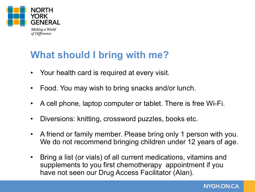

### **What should I bring with me?**

- Your health card is required at every visit.
- Food. You may wish to bring snacks and/or lunch.
- A cell phone, laptop computer or tablet. There is free Wi-Fi.
- Diversions: knitting, crossword puzzles, books etc.
- A friend or family member. Please bring only 1 person with you. We do not recommend bringing children under 12 years of age.
- Bring a list (or vials) of all current medications, vitamins and supplements to you first chemotherapy appointment if you have not seen our Drug Access Facilitator (Alan).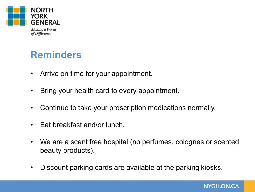

### **Reminders**

- Arrive on time for your appointment.
- Bring your health card to every appointment.
- Continue to take your prescription medications normally.
- Eat breakfast and/or lunch.
- We are a scent free hospital (no perfumes, colognes or scented beauty products).
- Discount parking cards are available at the parking kiosks.

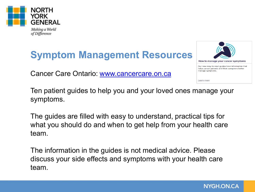

of Difference

# **Symptom Management Resources**

Cancer Care Ontario: [www.cancercare.on.ca](http://www.cancercare.on.ca/)



Ten patient guides to help you and your loved ones manage your symptoms.

The guides are filled with easy to understand, practical tips for what you should do and when to get help from your health care team.

The information in the guides is not medical advice. Please discuss your side effects and symptoms with your health care team.

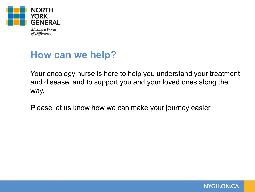

#### **How can we help?**

Your oncology nurse is here to help you understand your treatment and disease, and to support you and your loved ones along the way.

Please let us know how we can make your journey easier.